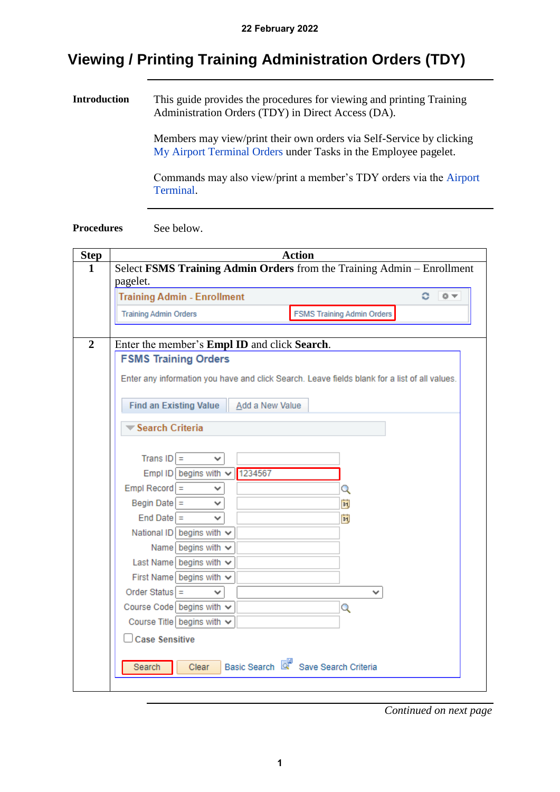# **Viewing / Printing Training Administration Orders (TDY)**

**Introduction** This guide provides the procedures for viewing and printing Training Administration Orders (TDY) in Direct Access (DA).

> Members may view/print their own orders via Self-Service by clicking [My Airport Terminal Orders](https://www.dcms.uscg.mil/Portals/10/CG-1/PPC/GUIDES/GP/SelfService/Command/AirportTerminal.pdf?ver=2020-08-21-141134-777) under Tasks in the Employee pagelet.

Commands may also view/print a member's TDY orders via the [Airport](https://www.dcms.uscg.mil/Portals/10/CG-1/PPC/GUIDES/GP/SelfService/Command/AirportTerminal.pdf?ver=2020-08-21-141134-777)  [Terminal.](https://www.dcms.uscg.mil/Portals/10/CG-1/PPC/GUIDES/GP/SelfService/Command/AirportTerminal.pdf?ver=2020-08-21-141134-777)

#### **Procedures** See below.

| <b>Step</b>    |                                                                                               | <b>Action</b>                       |  |  |  |  |  |
|----------------|-----------------------------------------------------------------------------------------------|-------------------------------------|--|--|--|--|--|
| $\mathbf{1}$   | Select FSMS Training Admin Orders from the Training Admin - Enrollment                        |                                     |  |  |  |  |  |
|                | pagelet.                                                                                      |                                     |  |  |  |  |  |
|                | <b>Training Admin - Enrollment</b>                                                            | 森平<br>с                             |  |  |  |  |  |
|                | <b>Training Admin Orders</b>                                                                  | <b>FSMS Training Admin Orders</b>   |  |  |  |  |  |
|                |                                                                                               |                                     |  |  |  |  |  |
| $\overline{2}$ | Enter the member's <b>Empl ID</b> and click <b>Search</b> .                                   |                                     |  |  |  |  |  |
|                | <b>FSMS Training Orders</b>                                                                   |                                     |  |  |  |  |  |
|                | Enter any information you have and click Search. Leave fields blank for a list of all values. |                                     |  |  |  |  |  |
|                |                                                                                               |                                     |  |  |  |  |  |
|                | <b>Find an Existing Value</b><br>Add a New Value                                              |                                     |  |  |  |  |  |
|                | Search Criteria                                                                               |                                     |  |  |  |  |  |
|                |                                                                                               |                                     |  |  |  |  |  |
|                | Trans $ D  =$<br>$\checkmark$                                                                 |                                     |  |  |  |  |  |
|                | Empl ID begins with $\vee$ 1234567                                                            |                                     |  |  |  |  |  |
|                | $Empl$ Record $=$                                                                             |                                     |  |  |  |  |  |
|                | Begin Date $=$                                                                                | Q<br>li)                            |  |  |  |  |  |
|                | $End Date =$                                                                                  | Ħ                                   |  |  |  |  |  |
|                | National ID begins with $\vee$                                                                |                                     |  |  |  |  |  |
|                | Name begins with $\sim$                                                                       |                                     |  |  |  |  |  |
|                | Last Name begins with $\vee$                                                                  |                                     |  |  |  |  |  |
|                | First Name begins with $\vee$                                                                 |                                     |  |  |  |  |  |
|                | Order Status $=$<br>◡                                                                         | v                                   |  |  |  |  |  |
|                | Course Code begins with $\vee$                                                                | Q                                   |  |  |  |  |  |
|                | Course Title begins with $\vee$                                                               |                                     |  |  |  |  |  |
|                | $\Box$ Case Sensitive                                                                         |                                     |  |  |  |  |  |
|                |                                                                                               |                                     |  |  |  |  |  |
|                | Search<br>Clear                                                                               | Basic Search & Save Search Criteria |  |  |  |  |  |
|                |                                                                                               |                                     |  |  |  |  |  |
|                |                                                                                               |                                     |  |  |  |  |  |

*Continued on next page*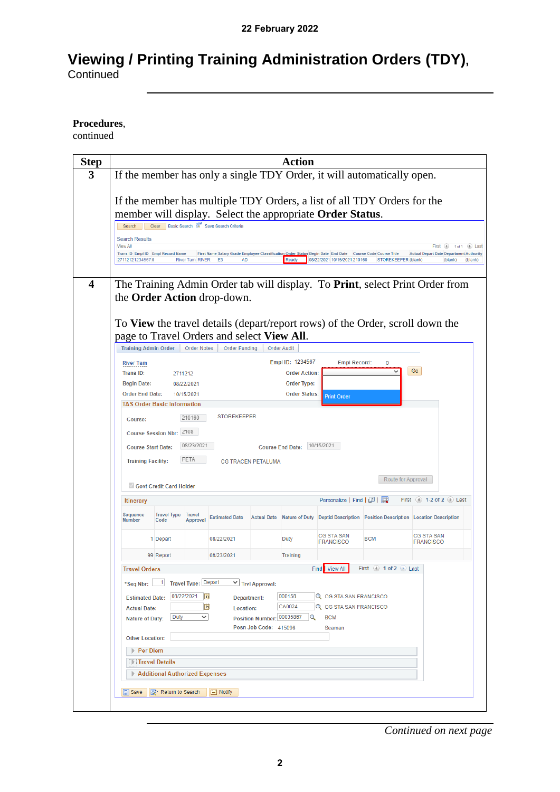# **Viewing / Printing Training Administration Orders (TDY), Continued**

**Procedures**,

continued

| 3                       |                                                                                  |                                                 |                                      |                           | <b>Action</b>                       |                                                                                                                                           |                           |                                                                                                   |
|-------------------------|----------------------------------------------------------------------------------|-------------------------------------------------|--------------------------------------|---------------------------|-------------------------------------|-------------------------------------------------------------------------------------------------------------------------------------------|---------------------------|---------------------------------------------------------------------------------------------------|
|                         | If the member has only a single TDY Order, it will automatically open.           |                                                 |                                      |                           |                                     |                                                                                                                                           |                           |                                                                                                   |
|                         | If the member has multiple TDY Orders, a list of all TDY Orders for the          |                                                 |                                      |                           |                                     |                                                                                                                                           |                           |                                                                                                   |
|                         | member will display. Select the appropriate Order Status.<br>Search<br>Clear     | Basic Search & Save Search Criteria             |                                      |                           |                                     |                                                                                                                                           |                           |                                                                                                   |
|                         | <b>Search Results</b>                                                            |                                                 |                                      |                           |                                     |                                                                                                                                           |                           |                                                                                                   |
|                         | <b>View All</b><br>Trans ID Empl ID Empl Record Name<br>271121212345670          | <b>River Tam RIVER</b>                          | E <sub>3</sub><br><b>AD</b>          |                           | Ready                               | First Name Salary Grade Employee Classification Order Status Begin Date End Date Course Code Course Title<br>08/22/2021 10/15/2021 210160 | STOREKEEPER (blank)       | First (4) 1 of 1 (b) Last<br><b>Actual Depart Date Department Authority</b><br>(blank)<br>(blank) |
|                         |                                                                                  |                                                 |                                      |                           |                                     |                                                                                                                                           |                           |                                                                                                   |
| $\overline{\mathbf{4}}$ | the Order Action drop-down.                                                      |                                                 |                                      |                           |                                     |                                                                                                                                           |                           | The Training Admin Order tab will display. To Print, select Print Order from                      |
|                         | To View the travel details (depart/report rows) of the Order, scroll down the    |                                                 |                                      |                           |                                     |                                                                                                                                           |                           |                                                                                                   |
|                         | page to Travel Orders and select View All.                                       |                                                 |                                      |                           |                                     |                                                                                                                                           |                           |                                                                                                   |
|                         | <b>Training Admin Order</b>                                                      | <b>Order Notes</b>                              | <b>Order Funding</b>                 |                           | <b>Order Audit</b>                  |                                                                                                                                           |                           |                                                                                                   |
|                         | <b>River Tam</b>                                                                 |                                                 |                                      |                           | Empl ID: 1234567                    | <b>Empl Record:</b>                                                                                                                       | Ω                         |                                                                                                   |
|                         | Trans ID:                                                                        | 2711212                                         |                                      |                           | <b>Order Action:</b>                |                                                                                                                                           |                           | Go                                                                                                |
|                         | <b>Begin Date:</b><br><b>Order End Date:</b>                                     | 08/22/2021<br>10/15/2021                        |                                      |                           | Order Type:<br><b>Order Status:</b> |                                                                                                                                           |                           |                                                                                                   |
|                         | <b>TAS Order Basic Information</b>                                               |                                                 |                                      |                           |                                     | <b>Print Order</b>                                                                                                                        |                           |                                                                                                   |
|                         |                                                                                  | 210160                                          | <b>STOREKEEPER</b>                   |                           |                                     |                                                                                                                                           |                           |                                                                                                   |
|                         | Course:                                                                          |                                                 |                                      |                           |                                     |                                                                                                                                           |                           |                                                                                                   |
|                         | Course Session Nbr: 2108                                                         |                                                 |                                      |                           |                                     |                                                                                                                                           |                           |                                                                                                   |
|                         | 10/15/2021<br>08/23/2021<br><b>Course End Date:</b><br><b>Course Start Date:</b> |                                                 |                                      |                           |                                     |                                                                                                                                           |                           |                                                                                                   |
|                         | <b>Training Facility:</b>                                                        | PETA                                            |                                      | <b>CG TRACEN PETALUMA</b> |                                     |                                                                                                                                           |                           |                                                                                                   |
|                         | Route for Approval                                                               |                                                 |                                      |                           |                                     |                                                                                                                                           |                           |                                                                                                   |
|                         | Govt Credit Card Holder                                                          |                                                 |                                      |                           |                                     |                                                                                                                                           |                           |                                                                                                   |
|                         | <b>Itinerary</b>                                                                 |                                                 |                                      |                           |                                     | Personalize   Find   2                                                                                                                    |                           | First (4) 1-2 of 2 (b) Last                                                                       |
|                         | Sequence<br><b>Number</b><br>Code                                                | <b>Travel Type</b><br><b>Travel</b><br>Approval | <b>Estimated Date</b>                | <b>Actual Date</b>        |                                     |                                                                                                                                           |                           |                                                                                                   |
|                         |                                                                                  |                                                 |                                      |                           |                                     |                                                                                                                                           |                           | Nature of Duty Deptid Description Position Description Location Description                       |
|                         | 1 Depart                                                                         |                                                 | 08/22/2021                           |                           | <b>Duty</b>                         | CG STA SAN<br><b>FRANCISCO</b>                                                                                                            | <b>BCM</b>                | CG STA SAN<br>FRANCISCO                                                                           |
|                         | 99 Report                                                                        |                                                 | 08/23/2021                           |                           | Training                            |                                                                                                                                           |                           |                                                                                                   |
|                         | <b>Travel Orders</b>                                                             |                                                 |                                      |                           |                                     | Find View All                                                                                                                             | First (4) 1 of 2 (b) Last |                                                                                                   |
|                         | 1 <sup>1</sup><br>*Seq Nbr:                                                      | Travel Type: Depart                             |                                      | $\vee$ Trvl Approval:     |                                     |                                                                                                                                           |                           |                                                                                                   |
|                         |                                                                                  | 08/22/2021                                      | 31                                   |                           | 000158                              | Q CG STA SAN FRANCISCO                                                                                                                    |                           |                                                                                                   |
|                         | <b>Estimated Date:</b><br><b>Actual Date:</b>                                    |                                                 | $\overline{\mathbf{B}}$<br>Location: | Department:               | CA0024                              | Q CG STA SAN FRANCISCO                                                                                                                    |                           |                                                                                                   |
|                         | <b>Nature of Duty:</b>                                                           | <b>Duty</b><br>v                                |                                      | Position Number: 00035867 |                                     | <b>BCM</b>                                                                                                                                |                           |                                                                                                   |
|                         |                                                                                  |                                                 |                                      | Posn Job Code: 415096     |                                     | Seaman                                                                                                                                    |                           |                                                                                                   |
|                         | <b>Other Location:</b>                                                           |                                                 |                                      |                           |                                     |                                                                                                                                           |                           |                                                                                                   |
|                         | <b>Per Diem</b>                                                                  |                                                 |                                      |                           |                                     |                                                                                                                                           |                           |                                                                                                   |
|                         | Travel Details                                                                   |                                                 |                                      |                           |                                     |                                                                                                                                           |                           |                                                                                                   |
|                         |                                                                                  | Additional Authorized Expenses                  |                                      |                           |                                     |                                                                                                                                           |                           |                                                                                                   |
|                         | <b>日</b> Save                                                                    | Return to Search                                | $\equiv$ Notify                      |                           |                                     |                                                                                                                                           |                           |                                                                                                   |

*Continued on next page*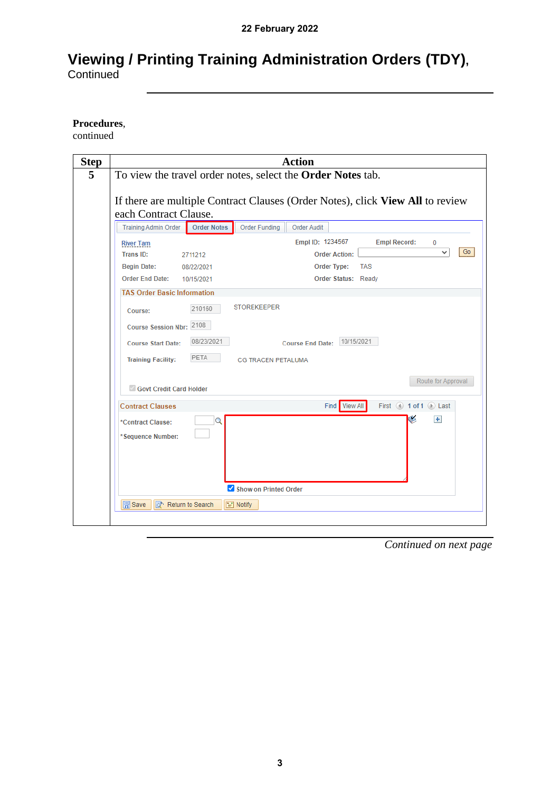# **Viewing / Printing Training Administration Orders (TDY), Continued**

**Procedures**,

continued

| <b>Action</b>                                                                                                                                                           |  |  |  |  |  |  |
|-------------------------------------------------------------------------------------------------------------------------------------------------------------------------|--|--|--|--|--|--|
| To view the travel order notes, select the Order Notes tab.                                                                                                             |  |  |  |  |  |  |
| If there are multiple Contract Clauses (Order Notes), click View All to review                                                                                          |  |  |  |  |  |  |
|                                                                                                                                                                         |  |  |  |  |  |  |
| <b>Training Admin Order</b><br><b>Order Notes</b><br><b>Order Funding</b><br><b>Order Audit</b>                                                                         |  |  |  |  |  |  |
| Empl ID: 1234567<br><b>Empl Record:</b><br>0<br><b>River Tam</b><br>Go                                                                                                  |  |  |  |  |  |  |
| Trans ID:<br><b>Order Action:</b><br>2711212                                                                                                                            |  |  |  |  |  |  |
| <b>TAS</b><br><b>Begin Date:</b><br>Order Type:<br>08/22/2021                                                                                                           |  |  |  |  |  |  |
| Order End Date: 10/15/2021<br>Order Status: Ready                                                                                                                       |  |  |  |  |  |  |
| <b>TAS Order Basic Information</b>                                                                                                                                      |  |  |  |  |  |  |
| <b>STOREKEEPER</b><br>210160<br>Course:                                                                                                                                 |  |  |  |  |  |  |
| Course Session Nbr: 2108                                                                                                                                                |  |  |  |  |  |  |
| 08/23/2021<br>Course End Date: 10/15/2021<br><b>Course Start Date:</b>                                                                                                  |  |  |  |  |  |  |
| PETA                                                                                                                                                                    |  |  |  |  |  |  |
| <b>Training Facility:</b><br><b>CG TRACEN PETALUMA</b>                                                                                                                  |  |  |  |  |  |  |
| Route for Approval<br>Govt Credit Card Holder                                                                                                                           |  |  |  |  |  |  |
| Find View All<br>First $\textcircled{\tiny{\textcircled{\tiny \textcirc}}}$ 1 of 1 $\textcircled{\tiny{\textcircled{\tiny \textcirc}}}$ Last<br><b>Contract Clauses</b> |  |  |  |  |  |  |
| $+$<br>Q<br>*Contract Clause:<br>*Sequence Number:                                                                                                                      |  |  |  |  |  |  |
|                                                                                                                                                                         |  |  |  |  |  |  |
| Show on Printed Order                                                                                                                                                   |  |  |  |  |  |  |
| <b>同</b> Save<br>Return to Search<br>$\equiv$ Notify                                                                                                                    |  |  |  |  |  |  |
|                                                                                                                                                                         |  |  |  |  |  |  |
|                                                                                                                                                                         |  |  |  |  |  |  |

*Continued on next page*